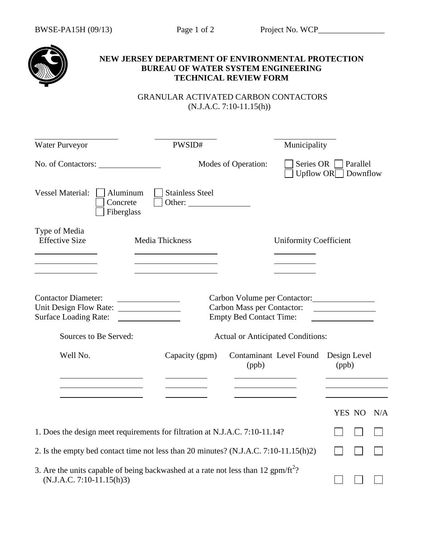

## **NEW JERSEY DEPARTMENT OF ENVIRONMENTAL PROTECTION BUREAU OF WATER SYSTEM ENGINEERING TECHNICAL REVIEW FORM**

 GRANULAR ACTIVATED CARBON CONTACTORS (N.J.A.C. 7:10-11.15(h))

| Water Purveyor                                                                                                | PWSID#                                                                                        |                                                                                                                                                 | Municipality                                      |       |        |     |
|---------------------------------------------------------------------------------------------------------------|-----------------------------------------------------------------------------------------------|-------------------------------------------------------------------------------------------------------------------------------------------------|---------------------------------------------------|-------|--------|-----|
| No. of Contactors:                                                                                            |                                                                                               | Modes of Operation:                                                                                                                             | Series OR   Parallel<br>Upflow $OR \Box$ Downflow |       |        |     |
| <b>Vessel Material:</b>                                                                                       | Aluminum<br><b>Stainless Steel</b><br>Concrete<br>Other:<br>Fiberglass                        |                                                                                                                                                 |                                                   |       |        |     |
| Type of Media<br><b>Effective Size</b>                                                                        | Media Thickness                                                                               |                                                                                                                                                 | <b>Uniformity Coefficient</b>                     |       |        |     |
| <b>Contactor Diameter:</b><br>Unit Design Flow Rate:<br><b>Surface Loading Rate:</b><br>Sources to Be Served: |                                                                                               | Carbon Volume per Contactor:<br><b>Carbon Mass per Contactor:</b><br><b>Empty Bed Contact Time:</b><br><b>Actual or Anticipated Conditions:</b> |                                                   |       |        |     |
| Well No.                                                                                                      | Capacity (gpm)                                                                                | Contaminant Level Found Design Level<br>(ppb)<br><u> 1989 - Johann Barbara, martxa a</u>                                                        |                                                   | (ppb) |        |     |
|                                                                                                               |                                                                                               |                                                                                                                                                 |                                                   |       | YES NO | N/A |
|                                                                                                               | 1. Does the design meet requirements for filtration at N.J.A.C. 7:10-11.14?                   |                                                                                                                                                 |                                                   |       |        |     |
|                                                                                                               | 2. Is the empty bed contact time not less than 20 minutes? (N.J.A.C. 7:10-11.15(h)2)          |                                                                                                                                                 |                                                   |       |        |     |
| $(N.J.A.C. 7:10-11.15(h)3)$                                                                                   | 3. Are the units capable of being backwashed at a rate not less than 12 gpm/ft <sup>2</sup> ? |                                                                                                                                                 |                                                   |       |        |     |